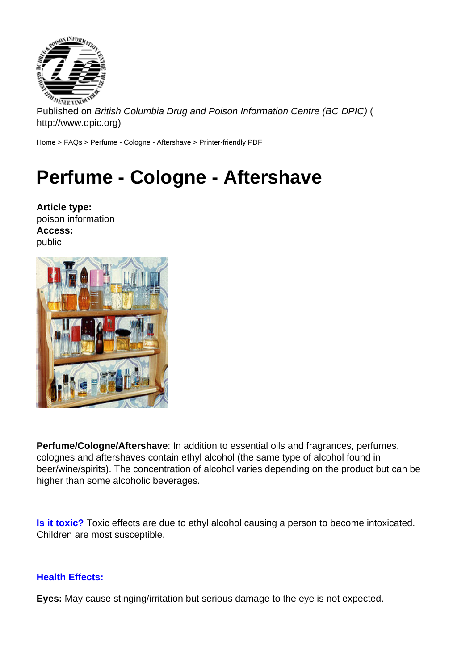Published on British Columbia Drug and Poison Information Centre (BC DPIC) ( http://www.dpic.org)

Home > FAQs > Perfume - Cologne - Aftershave > Printer-friendly PDF

## [Pe](http://www.dpic.org/)[rfu](http://www.dpic.org/faq)me - Cologne - Aftershave

Article type: poison information Access: public

Perfume/Cologne/Aftershave : In addition to essential oils and fragrances, perfumes, colognes and aftershaves contain ethyl alcohol (the same type of alcohol found in beer/wine/spirits). The concentration of alcohol varies depending on the product but can be higher than some alcoholic beverages.

Is it toxic? Toxic effects are due to ethyl alcohol causing a person to become intoxicated. Children are most susceptible.

Health Effects:

Eyes: May cause stinging/irritation but serious damage to the eye is not expected.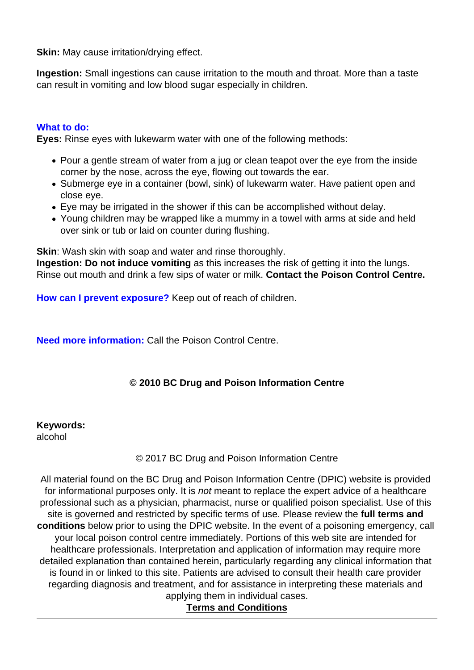Skin: May cause irritation/drying effect.

Ingestion: Small ingestions can cause irritation to the mouth and throat. More than a taste can result in vomiting and low blood sugar especially in children.

## What to do:

Eyes: Rinse eyes with lukewarm water with one of the following methods:

- Pour a gentle stream of water from a jug or clean teapot over the eye from the inside corner by the nose, across the eye, flowing out towards the ear.
- Submerge eye in a container (bowl, sink) of lukewarm water. Have patient open and close eye.
- Eye may be irrigated in the shower if this can be accomplished without delay.
- Young children may be wrapped like a mummy in a towel with arms at side and held over sink or tub or laid on counter during flushing.

Skin : Wash skin with soap and water and rinse thoroughly.

Ingestion: Do not induce vomiting as this increases the risk of getting it into the lungs. Rinse out mouth and drink a few sips of water or milk. Contact the Poison Control Centre.

How can I prevent exposure? Keep out of reach of children.

Need more information: Call the Poison Control Centre.

© 2010 BC Drug and Poison Information Centre

Keywords: alcohol

© 2017 BC Drug and Poison Information Centre

All material found on the BC Drug and Poison Information Centre (DPIC) website is provided for informational purposes only. It is not meant to replace the expert advice of a healthcare professional such as a physician, pharmacist, nurse or qualified poison specialist. Use of this site is governed and restricted by specific terms of use. Please review the full terms and conditions below prior to using the DPIC website. In the event of a poisoning emergency, call your local poison control centre immediately. Portions of this web site are intended for healthcare professionals. Interpretation and application of information may require more detailed explanation than contained herein, particularly regarding any clinical information that is found in or linked to this site. Patients are advised to consult their health care provider regarding diagnosis and treatment, and for assistance in interpreting these materials and applying them in individual cases.

Terms and Conditions